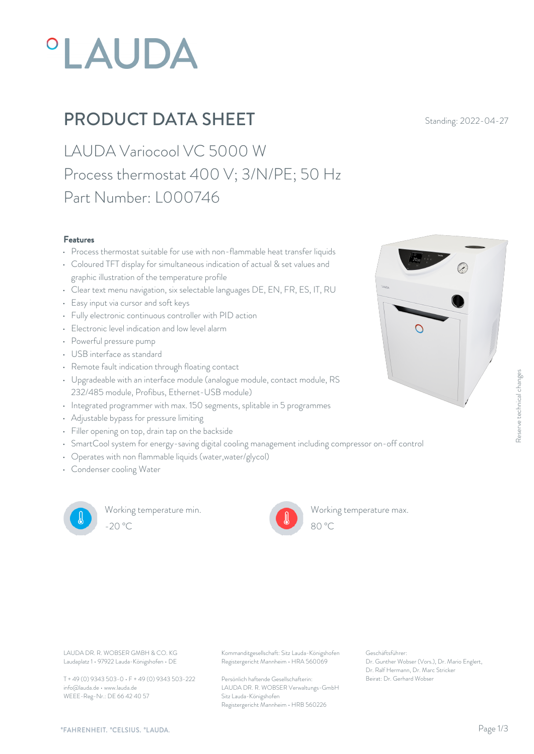# **°LAUDA**

## **PRODUCT DATA SHEET** Standing: 2022-04-27

LAUDA Variocool VC 5000 W Process thermostat 400 V; 3/N/PE; 50 Hz Part Number: L000746

#### Features

- Process thermostat suitable for use with non-flammable heat transfer liquids
- Coloured TFT display for simultaneous indication of actual & set values and graphic illustration of the temperature profile
- Clear text menu navigation, six selectable languages DE, EN, FR, ES, IT, RU
- Easy input via cursor and soft keys
- Fully electronic continuous controller with PID action
- Electronic level indication and low level alarm **Electronic level indication** and low level alarm
- Powerful pressure pump
- USB interface as standard
- Remote fault indication through floating contact
- Upgradeable with an interface module (analogue module, contact module, RS 232/485 module, Profibus, Ethernet-USB module)
- Integrated programmer with max. 150 segments, splitable in 5 programmes
- Adjustable bypass for pressure limiting
- Filler opening on top, drain tap on the backside
- SmartCool system for energy-saving digital cooling management including compressor on-off control
- Operates with non flammable liquids (water,water/glycol)
- Condenser cooling Water



Working temperature min. -20 °C 80 °C

Working temperature max.



Laudaplatz 1 • 97922 Lauda-Königshofen • DE

T + 49 (0) 9343 503-0 • F + 49 (0) 9343 503-222 info@lauda.de • www.lauda.de WEEE-Reg-Nr.: DE 66 42 40 57

LAUDA DR. R. WOBSER GMBH & CO. KG Kommanditgesellschaft: Sitz Lauda-Königshofen Geschäftsführer: Registergericht Mannheim • HRA 560069

> Persönlich haftende Gesellschafterin: Beirat: Dr. Gerhard Wobse LAUDA DR. R. WOBSER Verwaltungs-GmbH Sitz Lauda-Königshofen Registergericht Mannheim • HRB 560226

Geschäftsführer: Dr. Gunther Wobser (Vors.), Dr. Mario Englert, Dr. Ralf Hermann, Dr. Marc Stricker

80 °C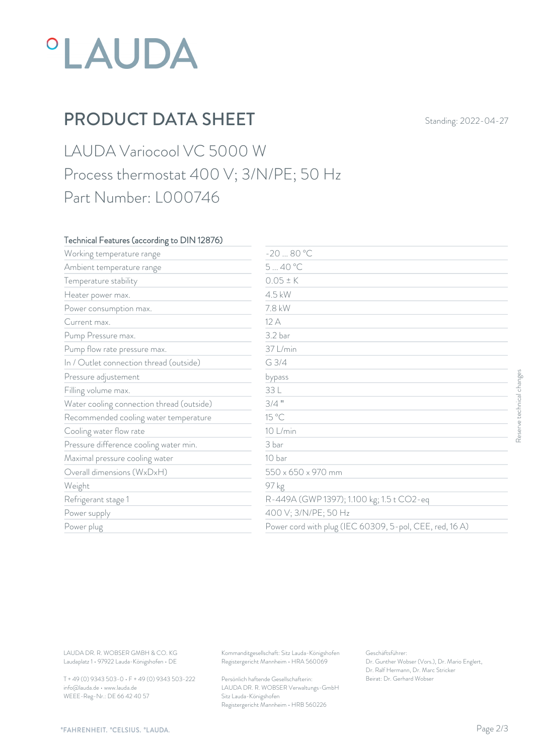## *°LAUDA*

## PRODUCT DATA SHEET Standing: 2022-04-27

### LAUDA Variocool VC 5000 W Process thermostat 400 V; 3/N/PE; 50 Hz Part Number: L000746

#### Technical Features (according to DIN 12876)

| Working temperature range                                                        | $-2080 °C$                                                                             |                                                                                                           |                           |
|----------------------------------------------------------------------------------|----------------------------------------------------------------------------------------|-----------------------------------------------------------------------------------------------------------|---------------------------|
| Ambient temperature range                                                        | 540°C                                                                                  |                                                                                                           |                           |
| Temperature stability                                                            | $0.05 \pm K$                                                                           |                                                                                                           |                           |
| Heater power max.                                                                | 4.5 kW                                                                                 |                                                                                                           |                           |
| Power consumption max.                                                           | 7.8 kW                                                                                 |                                                                                                           |                           |
| Current max.                                                                     | 12 A                                                                                   |                                                                                                           |                           |
| Pump Pressure max.                                                               | 3.2 bar                                                                                |                                                                                                           |                           |
| Pump flow rate pressure max.                                                     | 37 L/min                                                                               |                                                                                                           |                           |
| In / Outlet connection thread (outside)                                          | $G$ 3/4                                                                                |                                                                                                           |                           |
| Pressure adjustement                                                             | bypass                                                                                 |                                                                                                           | Reserve technical changes |
| Filling volume max.                                                              | 33 L                                                                                   |                                                                                                           |                           |
| Water cooling connection thread (outside)                                        | $3/4$ "                                                                                |                                                                                                           |                           |
| Recommended cooling water temperature                                            | 15 °C                                                                                  |                                                                                                           |                           |
| Cooling water flow rate                                                          | 10 L/min                                                                               |                                                                                                           |                           |
| Pressure difference cooling water min.                                           | 3 bar                                                                                  |                                                                                                           |                           |
| Maximal pressure cooling water                                                   | 10 bar                                                                                 |                                                                                                           |                           |
| Overall dimensions (WxDxH)                                                       | 550 x 650 x 970 mm                                                                     |                                                                                                           |                           |
| Weight                                                                           | 97 kg                                                                                  |                                                                                                           |                           |
| Refrigerant stage 1                                                              | R-449A (GWP 1397); 1.100 kg; 1.5 t CO2-eq                                              |                                                                                                           |                           |
| Power supply                                                                     | 400 V; 3/N/PE; 50 Hz                                                                   |                                                                                                           |                           |
| Power plug                                                                       |                                                                                        | Power cord with plug (IEC 60309, 5-pol, CEE, red, 16A)                                                    |                           |
|                                                                                  |                                                                                        |                                                                                                           |                           |
| LAUDA DR. R. WOBSER GMBH & CO. KG<br>Laudaplatz 1 · 97922 Lauda-Königshofen · DE | Kommanditgesellschaft: Sitz Lauda-Königshofen<br>Registergericht Mannheim · HRA 560069 | Geschäftsführer:<br>Dr. Gunther Wobser (Vors.), Dr. Mario Englert,<br>Dr. Ralf Hermann, Dr. Marc Stricker |                           |
| T + 49 (0) 9343 503-0 · F + 49 (0) 9343 503-222                                  | Persönlich haftende Gesellschafterin:                                                  | Beirat: Dr. Gerhard Wobser                                                                                |                           |

T + 49 (0) 9343 503-0 • F + 49 (0) 9343 503-222 info@lauda.de • www.lauda.de WEEE-Reg-Nr.: DE 66 42 40 57

> Persönlich haftende Gesellschafterin: Beirat: Dr. Gerhard Wobse LAUDA DR. R. WOBSER Verwaltungs-GmbH Sitz Lauda-Königshofen Registergericht Mannheim • HRB 560226